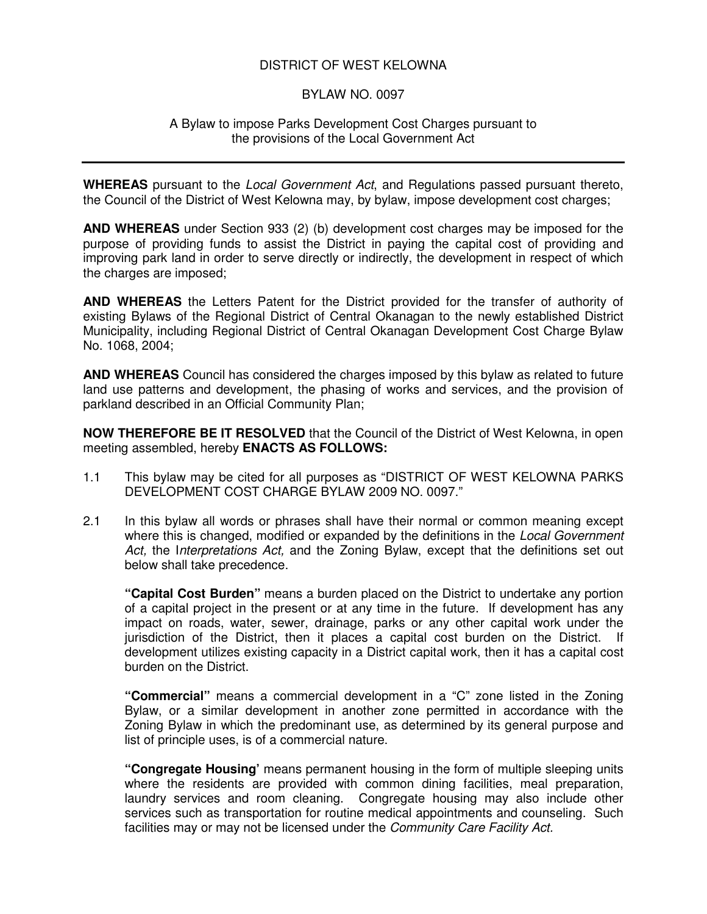## DISTRICT OF WEST KELOWNA

## BYLAW NO. 0097

## A Bylaw to impose Parks Development Cost Charges pursuant to the provisions of the Local Government Act

**WHEREAS** pursuant to the *Local Government Act*, and Regulations passed pursuant thereto, the Council of the District of West Kelowna may, by bylaw, impose development cost charges;

**AND WHEREAS** under Section 933 (2) (b) development cost charges may be imposed for the purpose of providing funds to assist the District in paying the capital cost of providing and improving park land in order to serve directly or indirectly, the development in respect of which the charges are imposed;

**AND WHEREAS** the Letters Patent for the District provided for the transfer of authority of existing Bylaws of the Regional District of Central Okanagan to the newly established District Municipality, including Regional District of Central Okanagan Development Cost Charge Bylaw No. 1068, 2004;

**AND WHEREAS** Council has considered the charges imposed by this bylaw as related to future land use patterns and development, the phasing of works and services, and the provision of parkland described in an Official Community Plan;

**NOW THEREFORE BE IT RESOLVED** that the Council of the District of West Kelowna, in open meeting assembled, hereby **ENACTS AS FOLLOWS:**

- 1.1 This bylaw may be cited for all purposes as "DISTRICT OF WEST KELOWNA PARKS DEVELOPMENT COST CHARGE BYLAW 2009 NO. 0097."
- 2.1 In this bylaw all words or phrases shall have their normal or common meaning except where this is changed, modified or expanded by the definitions in the *Local Government Act,* the I*nterpretations Act,* and the Zoning Bylaw, except that the definitions set out below shall take precedence.

**"Capital Cost Burden"** means a burden placed on the District to undertake any portion of a capital project in the present or at any time in the future. If development has any impact on roads, water, sewer, drainage, parks or any other capital work under the jurisdiction of the District, then it places a capital cost burden on the District. If development utilizes existing capacity in a District capital work, then it has a capital cost burden on the District.

**"Commercial"** means a commercial development in a "C" zone listed in the Zoning Bylaw, or a similar development in another zone permitted in accordance with the Zoning Bylaw in which the predominant use, as determined by its general purpose and list of principle uses, is of a commercial nature.

**"Congregate Housing'** means permanent housing in the form of multiple sleeping units where the residents are provided with common dining facilities, meal preparation, laundry services and room cleaning. Congregate housing may also include other services such as transportation for routine medical appointments and counseling. Such facilities may or may not be licensed under the *Community Care Facility Act.*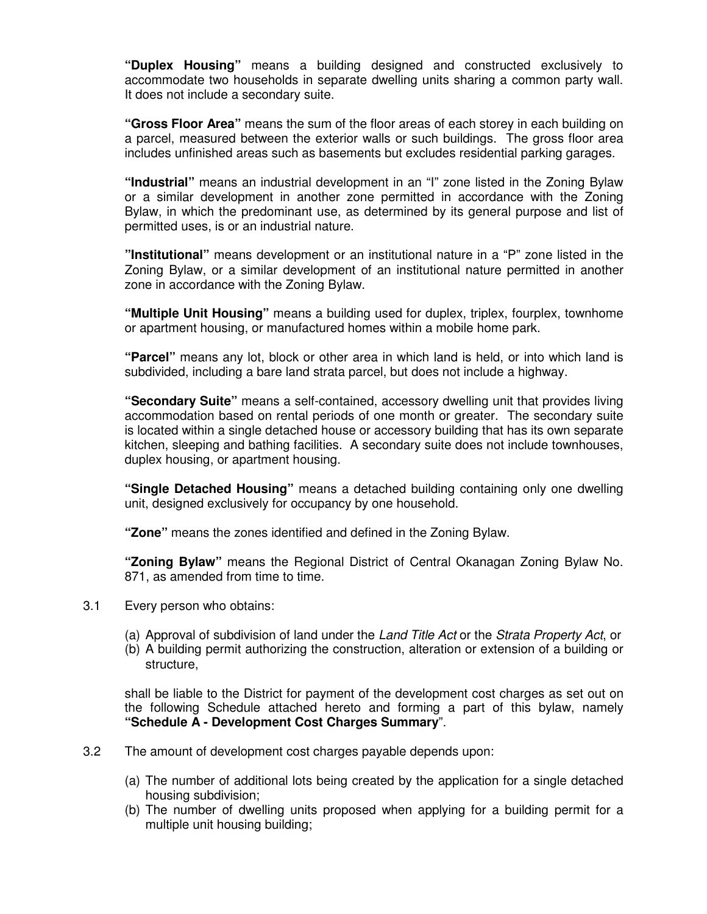**"Duplex Housing"** means a building designed and constructed exclusively to accommodate two households in separate dwelling units sharing a common party wall. It does not include a secondary suite.

**"Gross Floor Area"** means the sum of the floor areas of each storey in each building on a parcel, measured between the exterior walls or such buildings. The gross floor area includes unfinished areas such as basements but excludes residential parking garages.

**"Industrial"** means an industrial development in an "I" zone listed in the Zoning Bylaw or a similar development in another zone permitted in accordance with the Zoning Bylaw, in which the predominant use, as determined by its general purpose and list of permitted uses, is or an industrial nature.

**"Institutional"** means development or an institutional nature in a "P" zone listed in the Zoning Bylaw, or a similar development of an institutional nature permitted in another zone in accordance with the Zoning Bylaw.

**"Multiple Unit Housing"** means a building used for duplex, triplex, fourplex, townhome or apartment housing, or manufactured homes within a mobile home park.

**"Parcel"** means any lot, block or other area in which land is held, or into which land is subdivided, including a bare land strata parcel, but does not include a highway.

**"Secondary Suite"** means a self-contained, accessory dwelling unit that provides living accommodation based on rental periods of one month or greater. The secondary suite is located within a single detached house or accessory building that has its own separate kitchen, sleeping and bathing facilities. A secondary suite does not include townhouses, duplex housing, or apartment housing.

**"Single Detached Housing"** means a detached building containing only one dwelling unit, designed exclusively for occupancy by one household.

**"Zone"** means the zones identified and defined in the Zoning Bylaw.

**"Zoning Bylaw"** means the Regional District of Central Okanagan Zoning Bylaw No. 871, as amended from time to time.

- 3.1 Every person who obtains:
	- (a) Approval of subdivision of land under the *Land Title Act* or the *Strata Property Act*, or
	- (b) A building permit authorizing the construction, alteration or extension of a building or structure,

shall be liable to the District for payment of the development cost charges as set out on the following Schedule attached hereto and forming a part of this bylaw, namely **"Schedule A - Development Cost Charges Summary**".

- 3.2 The amount of development cost charges payable depends upon:
	- (a) The number of additional lots being created by the application for a single detached housing subdivision;
	- (b) The number of dwelling units proposed when applying for a building permit for a multiple unit housing building;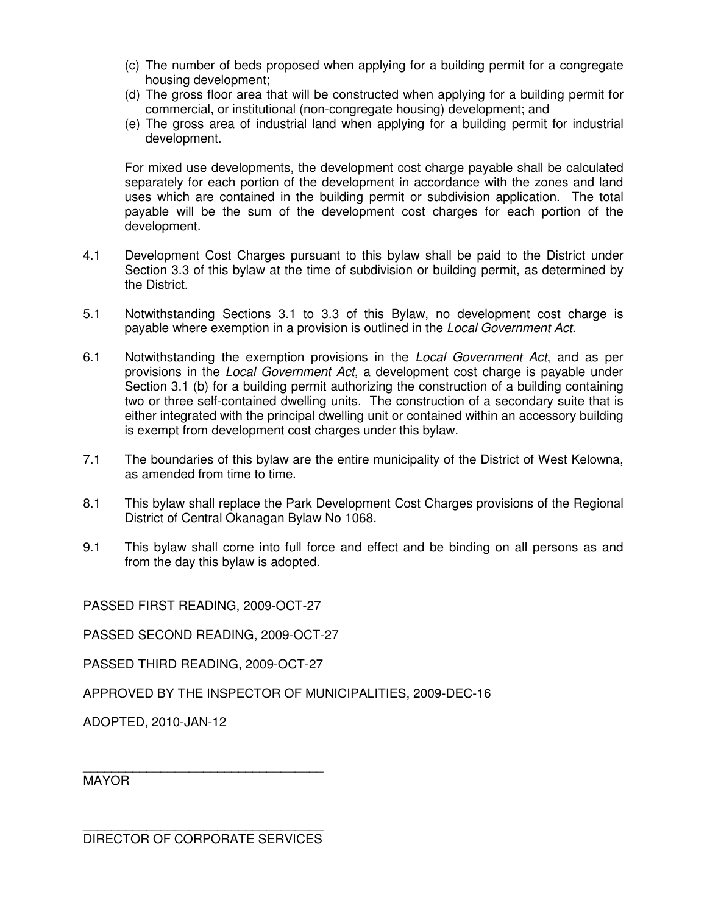- (c) The number of beds proposed when applying for a building permit for a congregate housing development;
- (d) The gross floor area that will be constructed when applying for a building permit for commercial, or institutional (non-congregate housing) development; and
- (e) The gross area of industrial land when applying for a building permit for industrial development.

For mixed use developments, the development cost charge payable shall be calculated separately for each portion of the development in accordance with the zones and land uses which are contained in the building permit or subdivision application. The total payable will be the sum of the development cost charges for each portion of the development.

- 4.1 Development Cost Charges pursuant to this bylaw shall be paid to the District under Section 3.3 of this bylaw at the time of subdivision or building permit, as determined by the District.
- 5.1 Notwithstanding Sections 3.1 to 3.3 of this Bylaw, no development cost charge is payable where exemption in a provision is outlined in the *Local Government Act*.
- 6.1 Notwithstanding the exemption provisions in the *Local Government Act*, and as per provisions in the *Local Government Act*, a development cost charge is payable under Section 3.1 (b) for a building permit authorizing the construction of a building containing two or three self-contained dwelling units. The construction of a secondary suite that is either integrated with the principal dwelling unit or contained within an accessory building is exempt from development cost charges under this bylaw.
- 7.1 The boundaries of this bylaw are the entire municipality of the District of West Kelowna, as amended from time to time.
- 8.1 This bylaw shall replace the Park Development Cost Charges provisions of the Regional District of Central Okanagan Bylaw No 1068.
- 9.1 This bylaw shall come into full force and effect and be binding on all persons as and from the day this bylaw is adopted.

PASSED FIRST READING, 2009-OCT-27

PASSED SECOND READING, 2009-OCT-27

PASSED THIRD READING, 2009-OCT-27

APPROVED BY THE INSPECTOR OF MUNICIPALITIES, 2009-DEC-16

ADOPTED, 2010-JAN-12

**MAYOR** 

\_\_\_\_\_\_\_\_\_\_\_\_\_\_\_\_\_\_\_\_\_\_\_\_\_\_\_\_\_\_\_\_\_\_